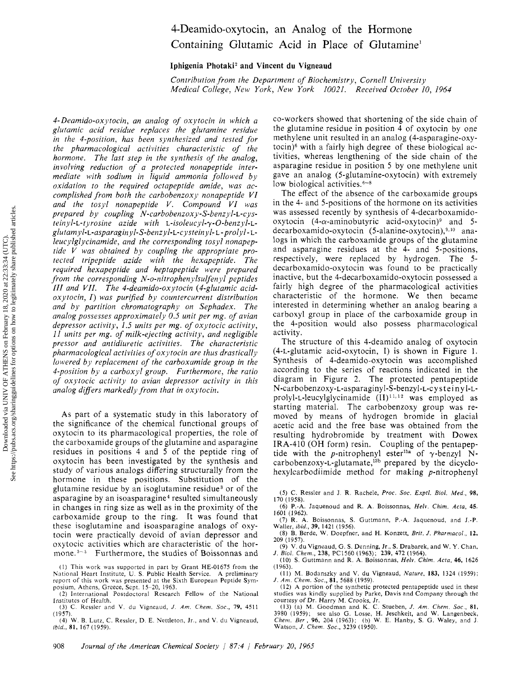## 4-Deamido-oxytocin, an Analog of the Hormone Containing Glutamic Acid in Place of Glutamine<sup>1</sup>

Iphigenia Photaki<sup>2</sup> and Vincent du Vigneaud

Contribution from the Department of Biochemistry, Cornell University Medical College, New York, New York 10021. Received October 10, 1964

4-Deamido-oxytocin, an analog of oxytocin in which <sup>a</sup> glutamic acid residue replaces the glutamine residue in the 4-position, has been synthesized and tested for the pharmacological activities characteristic of the hormone. The last step in the synthesis of the analog, involving reduction of <sup>a</sup> protected nonapeptide intermediate with sodium in liquid ammonia followed by oxidation to the required octapeptide amide, was accomplished from both the carbobenzoxy nonapeptide VI and the tosyl nonapeptide V. Compound VI was prepared by coupling  $N$ -carbobenzoxy-S-benzyl-L-cysteinyl-L-tyrosine azide with L-isoleucyl-y-O-benzyl-Lglutamyl-L-asparaginyl-S-benzyl-L-cysteinyl- l - prolyl - lleucylglycinamide, and the corresponding tosyl nonapeptide V was obtained by coupling the appropriate protected tripeptide azide with the hexapeptide. The required hexapeptide and heptapeptide were prepared from the corresponding N-o-nitrophenylsulfenyl peptides III and VII. The 4-deamido-oxytocin (4-glutamic acid $oxytocin, I)$  was purified by countercurrent distribution and by partition chromatography on Sephadex. The analog possesses approximately 0.5 unit per mg. of avian depressor activity, 1.5 units per mg. of oxytocic activity, <sup>11</sup> units per mg. of milk-ejecting activity, and negligible pressor and antidiuretic activities. The characteristic pharmacological activities of oxytocin are thus drastically lowered by replacement of the carboxamide group in the 4-position by <sup>a</sup> carboxyl group. Furthermore, the ratio of oxytocic activity to avian depressor activity in this analog differs markedly from that in oxytocin.

As part of <sup>a</sup> systematic study in this laboratory of the significance of the chemical functional groups of oxytocin to its pharmacological properties, the role of the carboxamide groups of the glutamine and asparagine residues in positions <sup>4</sup> and <sup>5</sup> of the peptide ring of oxytocin has been investigated by the synthesis and study of various analogs differing structurally from the hormone in these positions. Substitution of the glutamine residue by an isoglutamine residue<sup>3</sup> or of the asparagine by an isoasparagine4 resulted simultaneously in changes in ring size as well as in the proximity of the carboxamide group to the ring. It was found that these isoglutamine and isoasparagine analogs of oxytocin were practically devoid of avian depressor and oxytocic activities which are characteristic of the hormone.<sup>3-5</sup> Furthermore, the studies of Boissonnas and co-workers showed that shortening of the side chain of the glutamine residue in position  $\overline{4}$  of oxytocin by one methylene unit resulted in an analog (4-asparagine-oxytocin) $6$  with a fairly high degree of these biological activities, whereas lengthening of the side chain of the asparagine residue in position <sup>5</sup> by one methylene unit gave an analog (5-glutamine-oxytocin) with extremely low biological activities.<sup>6-8</sup>

The effect of the absence of the carboxamide groups in the 4- and 5-positions of the hormone on its activities was assessed recently by synthesis of 4-decarboxamidooxytocin  $(4-\alpha$ -aminobutyric acid-oxytocin)<sup>9</sup> and 5decarboxamido-oxytocin (5-alanine-oxytocin),9·10 analogs in which the carboxamide groups of the glutamine and asparagine residues at the 4- and 5-positions, respectively, were replaced by hydrogen. The 5 decarboxamido-oxytocin was found to be practically inactive, but the 4-decarboxamido-oxytocin possessed <sup>a</sup> fairly high degree of the pharmacological activities characteristic of the hormone. We then became interested in determining whether an analog bearing <sup>a</sup> carboxyl group in place of the carboxamide group in the 4-position would also possess pharmacological activity.

The structure of this 4-deamido analog of oxytocin (4-L-glutamic acid-oxytocin, I) is shown in Figure 1. Synthesis of 4-deamido-oxytocin was accomplished according to the series of reactions indicated in the diagram in Figure 2. The protected pentapeptide N-carbobenzoxy-L-asparaginyl-S-benzyl-L-cysteinyl-Lprolyl-L-leucylglycinamide  $(II)^{11,12}$  was employed as starting material. The carbobenzoxy group was removed by means of hydrogen bromide in glacial acetic acid and the free base was obtained from the resulting hydrobromide by treatment with Dowex IRA-410 (OH form) resin. Coupling of the pentapeptide with the p-nitrophenyl ester<sup>13a</sup> of  $\gamma$ -benzyl Ncarbobenzoxy-L-glutamate,<sup>13b</sup> prepared by the dicyclohexylcarbodiimide method for making p-nitrophenyl

- (6) P.-A. Jaquenoud and R. A. Boissonnas, Helv. Chim. Acta, 45. 1601 (1962).
- (7) R. A. Boissonnas, S. Guttmann, P.-A. Jaquenoud, and J.-P. Waller, ibid., 39, 1421 (1956).
- (8) B. Berde, W. Doepfner, and H. Konzett, Brit. J. Pharmacol., 12, 209 (1957).
- (9) V. du Vigneaud, G. S. Denning, Jr., S. Drabarek, and W. Y. Chan, J. Biol. Chem., 238, PCI560 (1963); 239, 472 (1964).
- (10) S. Guttmann and R. A. Boissonnas, Helv. Chim. Acta, 46, 1626 (1963).
- (11) M, Bodanszky and V. du Vigneaud, Nature, 183, 1324 (1959); J. Am. Chem. Soc., 81, 5688 (1959).
- (12) A portion of the synthetic protected pentapeptide used in these studies was kindly supplied by Parke, Davis and Company through the
- courtesy of Dr. Harry M, Crooks, Jr. (13) (a) M. Goodman and K. C. Stueben, J. Am. Chem. Soc., 81, 3980 (1959); see also G. Losse, H. Jeschkeit, and W. Langenbeck, Chem. Ber , 96, 204 (1963); (b) W. E. Hanby, S. G. Waley, and J. Watson, J. Chem. Soc., 3239 (1950).

<sup>(1)</sup> This work was supported in part by Grant HE-01675 from the National Heart Institute, U. S. Public Health Service. A preliminary report of this work was presented at the Sixth European Peptide Symposium, Athens, Greece, Sept. 15-20, 1963.

<sup>(2)</sup> International Postdoctoral Research Fellow of the National Institutes of Health.

<sup>(3)</sup> C. Ressler and V. du Vigneaud, J. Am. Chem. Soc., 79, 4511 (1957).

<sup>(4)</sup> W. B. Lutz, C. Ressler, D. E. Nettleton, Jr., and V. du Vigneaud, ibid., 81, 167 (1959).

<sup>(5)</sup> C. Ressler and J, R, Rachele, Proc. Soc. Exptl. Biol. Med., 98, 170 (1958).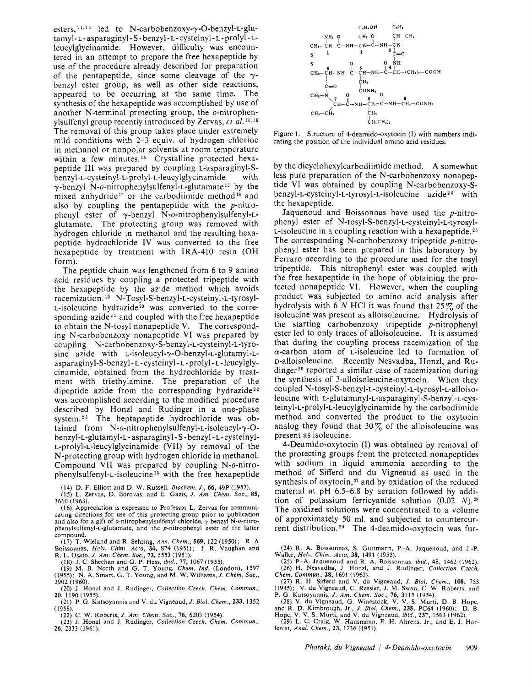esters,  $11, 14$  led to N-carbobenzoxy- $\gamma$ -O-benzyl-L-glutamyl-L-asparaginyl-S-benzyl-L-cysteinyl-L-prolyl-Lleucylglycinamide. However, difficulty was encountered in an attempt to prepare the free hexapeptide by use of the procedure already described for preparation of the pentapeptide, since some cleavage of the  $\gamma$ benzyl ester group, as well as other side reactions, appeared to be occurring at the same time. The synthesis of the hexapeptide was accomplished by use of another N-terminal protecting group, the o-nitrophenylsulfenyl group recently introduced by Zervas, et  $al$ .<sup>15,16</sup> The removal of this group takes place under extremely mild conditions with 2-3 equiv. of hydrogen chloride in methanol or nonpolar solvents at room temperature within a few minutes.<sup>15</sup> Crystalline protected hexapeptide III was prepared by coupling L-asparaginyl-Sbenzyl-L-cysteinyl-L-prolyl-L-leucylglycinamide  $\gamma$ -benzyl N-o-nitrophenylsulfenyl-L-glutamate<sup>15</sup> by the mixed anhydride<sup>17</sup> or the carbodiimide method<sup>18</sup> and also by coupling the pentapeptide with the p-nitrophenyl ester of  $\gamma$ -benzyl N-o-nitrophenylsulfenyl-Lglutamate. The protecting group was removed with hydrogen chloride in methanol and the resulting hexapeptide hydrochloride IV was converted to the free hexapeptide by treatment with IRA-410 resin (OH form).

The peptide chain was lengthened from <sup>6</sup> to <sup>9</sup> amino acid residues by coupling <sup>a</sup> protected tripeptide with the hexapeptide by the azide method which avoids racemization.19 N-Tosyl-S-benzyl-L-cysteinyl-L-tyrosyl-L-isoleucine hydrazide<sup>20</sup> was converted to the corresponding azide<sup>21</sup> and coupled with the free hexapeptide to obtain the N-tosyl nonapeptide V. The corresponding N-carbobenzoxy nonapeptide VI was prepared by coupling N-carbobenzoxy-S-benzyl-L-cysteinyl-L-tyrosine azide with L-isoleucyl- $\gamma$ -O-benzyl-L-glutamyl-Lasparaginyl-S-benzyl - l - cysteinyl - L - prolyl - l - leucylglycinamide, obtained from the hydrochloride by treatment with triethylamine. The preparation of the dipeptide azide from the corresponding hydrazide<sup>22</sup> was accomplished according to the modified procedure described by Honzl and Rudinger in <sup>a</sup> one-phase system.23 The heptapeptide hydrochloride was obtained from N-o-nitrophenylsulfenyl-L-isoleucyl- $\gamma$ -Obenzyl-L-glutamyl-L - asparaginyl - <sup>S</sup> - benzyl - L - cysteinyl-L-prolyl-L-leucylglycinamide (VII) by removal of the N-protecting group with hydrogen chloride in methanol. Compound VII was prepared by coupling N-o-nitrophenylsulfenyl-L-isoleucine15 with the free hexapeptide

(14) D. F. Elliott and D. W. Russell, Biochem. J., 66, 49P (1957).

(15) L. Zervas, D. Borovas, and E. Gazis, J. Am. Chem. Soc., 85, 3660 (1963). (16) Appreciation is expressed to Professor L. Zervas for communi-

cating directions for use of this protecting group prior to publication and also for a gift of o-nitrophenylsulfenyl chloride,  $\gamma$ -benzyl N-o-nitrophenylsulfenyl-L-glutamate, and the p-nitrophenyl ester of the latter

compound.<br>
(17) T. Wieland and R. Sehring, Ann. Chem., 569, 122 (1950); R. A<br>
Boissonnas, Helv. Chim. Acta, 34, 874 (1951); J. R. Vaughan and<br>
R. L. Osato, J. Am. Chem. Soc., 73, 5553 (1951).<br>
(18) J. C. Sheehan and G. P.

3902 (1960). (20) J. Honzl and J. Rudinger, Collection Czech. Chem. Commun., 20, 1190 (1955).

(21) P. G. Katsoyannis and V. du Vigneaud, J. Biol. Chem., 233, 1352 (1958).

(23) J. Honzl and J. Rudinger, Collection Czech. Chem. Commun., 26, 2333 (1961).



Figure 1. Structure of 4-deamido-oxytocin (I) with numbers indicating the position of the individual amino acid residues.

by the dicyclohexylcarbodiimide method. A somewhat less pure preparation of the N-carbobenzoxy nonapeptide VI was obtained by coupling N-carbobenzoxy-Sbenzyl-L-cysteinyl-L-tyrosyl-L-isoleucine azide24 with the hexapeptide.

Jaquenoud and Boissonnas have used the  $p$ -nitrophenyl ester of N-tosyl-S-benzyl-L-cysteinyl-L-tyrosyl- $L$ -isoleucine in a coupling reaction with a hexapeptide.<sup>25</sup> The corresponding N-carbobenzoxy tripeptide  $p$ -nitrophenyl ester has been prepared in this laboratory by Ferraro according to the procedure used for the tosyl tripeptide. This nitrophenyl ester was coupled with the free hexapeptide in the hope of obtaining the protected nonapeptide VI. However, when the coupling product was subjected to amino acid analysis after hydrolysis with 6 N HCl it was found that  $25\%$  of the isoleucine was present as alloisoleucine. Hydrolysis of the starting carbobenzoxy tripeptide  $p$ -nitrophenyl ester led to only traces of alloisoleucine. It is assumed that during the coupling process racemization of the  $\alpha$ -carbon atom of L-isoleucine led to formation of D-alloisoleucine. Recently Nesvadba, Honzl, and Rudinger<sup>26</sup> reported a similar case of racemization during the synthesis of 3-alloisoleucine-oxytocin. When they coupled N-tosyl-S-benzyl-L-cysteinyl-L-tyrosyl-L-alloisoleucine with L-glutaminyl-L-asparaginyl-S-benzyl-L-cysteinyl-L-prolyl-L-leucylglycinamide by the carbodiimide method and converted the product to the oxytocin analog they found that  $30\%$  of the alloisoleucine was present as isoleucine.

4-Deamido-oxytocin (I) was obtained by removal of the protecting groups from the protected nonapeptides with sodium in liquid ammonia according to the method of Sifferd and du Vigneaud as used in the synthesis of oxytocin, $27$  and by oxidation of the reduced material at pH 6.5-6.8 by aeration followed by addition of potassium ferricyanide solution  $(0.02 \ N)$ .<sup>28</sup> The oxidized solutions were concentrated to <sup>a</sup> volume of approximately <sup>50</sup> ml. and subjected to countercurrent distribution.29 The 4-deamido-oxytocin was fur-

(24) R. A. Boissonnas, S. Guttmann, P.-A. Jaquenoud, and J.-P. Waller, Helv. Chim. Acta, 38, 1491 (1955).

(25) P.-A. Jaquenoud and R. A. Boissonnas, ibid., 45, 1462 (1962). (26) H. Nesvadba, J. Honzl, and J. Rudinger, Collection Czech. Chem. Commun., 28, 1691 (1963).

(27) R. H. Sifferd and V. du Vigneaud, /. Biol. Chem., 108, 753 (1935); V. du Vigneaud, C. Ressler, J. M. Swan, C. W. Roberts, and P. G. Katsoyannis, /. Am. Chem. Soc., 76, 3115 (1954).

(28) V. du Vigneaud, G. Winestock, V. V. S. Murti, D. B. Hope,

and R. D. Kimbrough, Jr., J. Biol. Chem., 235, PC64 (1960); D. B.<br>Hope, V. V. S. Murti, and V. du Vigneaud, ibid., 237, 1563 (1962).<br>(29) L. C. Craig, W. Hausmann, E. H. Ahrens, Jr., and E. J. Harfenist, Anal. Chem., 23, 1236 (1951).

<sup>(22)</sup> C. W. Roberts, /. Am. Chem. Soc., 76, 6203 (1954).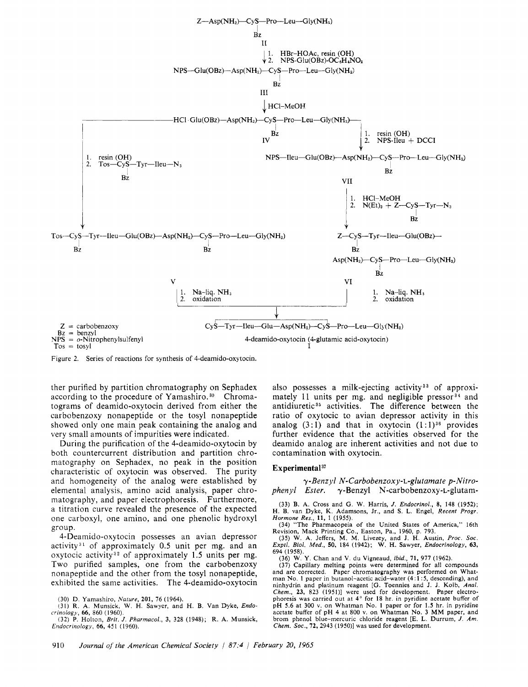

Figure 2. Series of reactions for synthesis of 4-deamido-oxytocin.

ther purified by partition chromatography on Sephadex according to the procedure of Yamashiro.<sup>30</sup> Chromatograms of deamido-oxytocin derived from either the carbobenzoxy nonapeptide or the tosyl nonapeptide showed only one main peak containing the analog and very small amounts of impurities were indicated.

During the purification of the 4-deamido-oxytocin by both countercurrent distribution and partition chromatography on Sephadex, no peak in the position characteristic of oxytocin was observed. The purity and homogeneity of the analog were established by elemental analysis, amino acid analysis, paper chromatography, and paper electrophoresis. Furthermore, <sup>a</sup> titration curve revealed the presence of the expected one carboxyl, one amino, and one phenolic hydroxyl group.

4-Deamido-oxytocin possesses an avian depressor activity<sup>31</sup> of approximately 0.5 unit per mg. and an oxytocic activity<sup>32</sup> of approximately 1.5 units per mg. Two purified samples, one from the carbobenzoxy nonapeptide and the other from the tosyl nonapeptide, exhibited the same activities. The 4-deamido-oxytocin

(32) P. Holton, Brit, J. Pharmacol,, 3, 328 (1948); R. A. Munsick, Endocrinology, 66, 451 (1960).

also possesses a milk-ejecting activity<sup>33</sup> of approximately 11 units per mg. and negligible pressor $34$  and antidiuretic<sup>35</sup> activities. The difference between the ratio of oxytocic to avian depressor activity in this analog  $(3:1)$  and that in oxytocin  $(1:1)^{36}$  provides further evidence that the activities observed for the deamido analog are inherent activities and not due to contamination with oxytocin.

## Experimental<sup>37</sup>

y-Benzyl N-Carbobenzoxy-L-glutamate p-Nitro-<br>phenyl Ester. y-Benzyl N-carbobenzoxy-L-glutam- $\gamma$ -Benzyl N-carbobenzoxy-L-glutam-

(33) B. A. Cross and G. W. Harris, J. *Endocrinol.*, 8, 148 (1952);<br>H. B. van Dyke, K. Adamsons, Jr., and S. L. Engel, *Recent Progr*.

Hormone Res., 11, 1 (1955).<br>(34) "The Pharmacopeia of the United States of America," 16th

Revision, Mack Printing Co., Easton, Pa., 1960, p. 793.<br>(35) W. A. Jeffers, M. M. Livezey, and J. H. Austin, *Proc. Soc.*<br>Exptl. Biol. Med., 50, 184 (1942); W. H. Sawyer, Endocrinology, 63, 694 (1958).

(36) W. Y. Chan and V. du Vigneaud, ibid., 71, 977 (1962).

(37) Capillary melting points were determined for all compounds and are corrected. Paper chromatography was performed on Whatman No. <sup>1</sup> paper in butanol-acetic acid-water (4:1:5, descending), and ninhydrin and platinum reagent [G. Toennies and J. J. Kolb, Anal. Chem., 23, 823 (1951)] were used for development. Paper electro-phoresis was carried out at 4° for <sup>18</sup> hr. in pyridine acetate buffer of pH 5.6 at 300 v. on Whatman No. <sup>1</sup> paper or for 1.5 hr. in pyridine acetate buffer of pH <sup>4</sup> at 800 v. on Whatman No. <sup>3</sup> MM paper, and brom phenol blue-mercuric chloride reagent [E. L. Durrum, J. Am. Chem. Soc., 72, 2943 (1950)] was used for development.

<sup>(30)</sup> D. Yamashiro, Nature, 201, 76 (1964).

<sup>(31)</sup> R. A. Munsick, W. H. Sawyer, and H. B. Van Dyke, Endocrinology, 66, 860 (1960).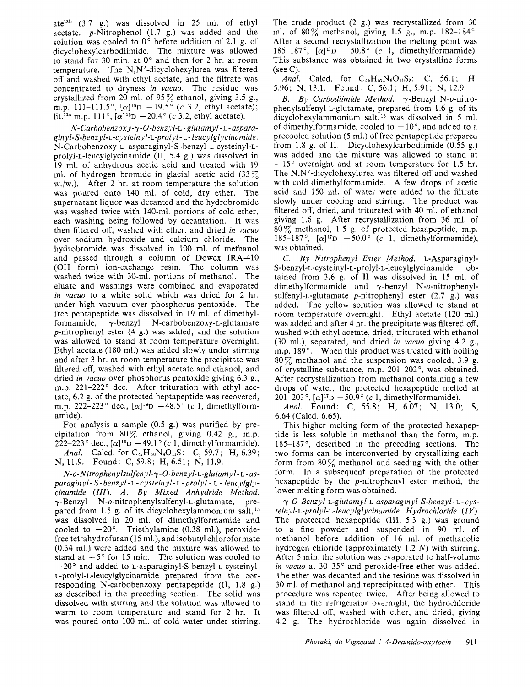ate13b (3.7 g.) was dissolved in <sup>25</sup> ml. of ethyl acetate.  $p$ -Nitrophenol (1.7 g.) was added and the solution was cooled to 0° before addition of 2.1 g. of dicyclohexylcarbodiimide. The mixture was allowed to stand for 30 min. at 0° and then for <sup>2</sup> hr. at room temperature. The  $N, N'$ -dicyclohexylurea was filtered off and washed with ethyl acetate, and the filtrate was concentrated to dryness in vacuo. The residue was crystallized from 20 ml. of 95 $\%$  ethanol, giving 3.5 g., m.p. 111-111.5°,  $[\alpha]^{19}D -19.5^{\circ}$  (c 3.2, ethyl acetate); lit.<sup>13a</sup> m.p. 111°,  $[\alpha]^{25}D - 20.4$ ° (c 3.2, ethyl acetate).

N-Carbobenzoxy-y-O-benzyl-L - glutamyl - L - asparaginyl-S-benzyl-L-cysteinyl-L-prolyl-L-leucylglycinamide. N-Carbobenzoxy-L - asparaginyl- <sup>S</sup> -benzyl- L-cysteinyl-Lprolyl-L-leucylglycinamide (II, 5.4 g.) was dissolved in <sup>19</sup> ml. of anhydrous acetic acid and treated with <sup>19</sup> ml. of hydrogen bromide in glacial acetic acid  $(33\%$ w./w.). After <sup>2</sup> hr. at room temperature the solution was poured onto <sup>140</sup> ml. of cold, dry ether. The supernatant liquor was decanted and the hydrobromide was washed twice with 140-ml. portions of cold ether, each washing being followed by decantation. It was then filtered off, washed with ether, and dried in vacuo over sodium hydroxide and calcium chloride. The hydrobromide was dissolved in <sup>100</sup> ml. of methanol and passed through <sup>a</sup> column of Dowex IRA-410 (OH form) ion-exchange resin. The column was washed twice with 30-ml. portions of methanol. The eluate and washings were combined and evaporated in vacuo to <sup>a</sup> white solid which was dried for 2 hr. under high vacuum over phosphorus pentoxide. The free pentapeptide was dissolved in 19 ml. of dimethyl-<br>formamide.  $\gamma$ -benzyl N-carbobenzoxy-L-glutamate  $\gamma$ -benzyl N-carbobenzoxy-L-glutamate  $p$ -nitrophenyl ester (4 g.) was added, and the solution was allowed to stand at room temperature overnight. Ethyl acetate (180 ml.) was added slowly under stirring and after <sup>3</sup> hr. at room temperature the precipitate was filtered off, washed with ethyl acetate and ethanol, and dried in vacuo over phosphorus pentoxide giving 6.3 g., m.p. 221-222° dec. After trituration with ethyl acetate, 6.2 g. of the protected heptapeptide was recovered, m.p. 222-223° dec.,  $[\alpha]^{19}D - 48.5^{\circ}$  (c 1, dimethylformamide).

For analysis <sup>a</sup> sample (0.5 g.) was purified by precipitation from  $80\%$  ethanol, giving 0.42 g., m.p. 222–223° dec.,  $[\alpha]^{19}D - 49.1^\circ$  (c 1, dimethylformamide). Anal. Calcd. for  $C_{47}H_{60}N_8O_{11}S$ : C, 59.7; H, 6.39; N, 11.9. Found: C, 59.8; H, 6.51; N, 11.9.

N-o-Nitrophenylsulfenyl-y-O-benzyl-L-glutamyl- <sup>L</sup> - asparaginyl-S-benzyl-L-cysteinyl-L-prolyl-L-leucylglycinamide (III). A. By Mixed Anhydride Method.  $\gamma$ -Benzyl N-*o*-nitrophenylsulfenyl-L-glutamate, prepared from 1.5 g. of its dicyclohexylammonium salt,  $15$ was dissolved in <sup>20</sup> ml. of dimethylformamide and cooled to  $-20^{\circ}$ . Triethylamine (0.38 ml.), peroxidefree tetrahydrofuran (15 ml.), and isobutyl chloroformate (0.34 ml.) were added and the mixture was allowed to stand at  $-5^{\circ}$  for 15 min. The solution was cooled to — 20° and added to L-asparaginyl-S-benzyl-L-cysteinyl-L-prolyl-L-leucylglycinamide prepared from the corresponding N-carbobenzoxy pentapeptide (II, 1.8 g.) as described in the preceding section. The solid was dissolved with stirring and the solution was allowed to warm to room temperature and stand for <sup>2</sup> hr. It was poured onto <sup>100</sup> ml. of cold water under stirring.

The crude product (2 g.) was recrystallized from <sup>30</sup> ml. of  $80\%$  methanol, giving 1.5 g., m.p. 182-184°. After <sup>a</sup> second recrystallization the melting point was 185-187°,  $[\alpha]^{17}D -50.8$ ° (c 1, dimethylformamide). This substance was obtained in two crystalline forms  $(see C).$ 

Anal. Calcd. for  $C_{45}H_{57}N_9O_{11}S_2$ : C, 56.1; H, 5.96; N, 13.1. Found: C, 56.1; H, 5.91; N, 12.9.

B. By Carbodiimide Method.  $\gamma$ -Benzyl N-o-nitrophenylsulfenyl-L-glutamate, prepared from 1.6 g. of its dicyclohexylammonium salt,16 was dissolved in <sup>5</sup> ml. of dimethylformamide, cooled to  $-10^{\circ}$ , and added to a precooled solution (5 ml.) of free pentapeptide prepared from 1.8 g. of II. Dicyclohexylcarbodiimide (0.55 g.) was added and the mixture was allowed to stand at — 15° overnight and at room temperature for 1.5 hr. The N,N'-dicyclohexylurea was filtered off and washed with cold dimethylformamide. A few drops of acetic acid and 150 ml. of water were added to the filtrate slowly under cooling and stirring. The product was filtered off, dried, and triturated with 40 ml. of ethanol giving 1.6 g. After recrystallization from <sup>36</sup> ml. of 80% methanol, 1.5 g. of protected hexapeptide, m.p. 185-187°,  $[\alpha]^{17}D -50.0^{\circ}$  (c 1, dimethylformamide), was obtained.

C. By Nitrophenyl Ester Method. L-Asparaginyl-<br>benzyl-1-cysteinyl-1-prolyl-1-leucylelycinamide ob- $S$ -benzyl-L-cysteinyl-L-prolyl-L-leucylglycinamide tained from 3.6 g. of II was dissolved in <sup>15</sup> ml. of dimethylformamide and  $\gamma$ -benzyl N- $o$ -nitrophenylsulfenyl-L-glutamate  $p$ -nitrophenyl ester (2.7 g.) was added. The yellow solution was allowed to stand at room temperature overnight. Ethyl acetate (120 ml.) was added and after <sup>4</sup> hr. the precipitate was filtered off, washed with ethyl acetate, dried, triturated with ethanol (30 ml.), separated, and dried in vacuo giving 4.2 g., m.p. 189°. When this product was treated with boiling  $80\%$  methanol and the suspension was cooled, 3.9 g. of crystalline substance, m.p. 201-202°, was obtained. After recrystallization from methanol containing <sup>a</sup> few drops of water, the protected hexapeptide melted at 201-203°,  $[\alpha]^{17}D - 50.9$ ° (c 1, dimethylformamide).

Anal. Found: C, 55.8; H, 6.07; N, 13.0; S, 6.64 (Caled. 6.65).

This higher melting form of the protected hexapeptide is less soluble in methanol than the form, m.p. 185-187°, described in the preceding sections. The two forms can be interconverted by crystallizing each form from  $80\%$  methanol and seeding with the other form. In <sup>a</sup> subsequent preparation of the protected hexapeptide by the  $p$ -nitrophenyl ester method, the lower melting form was obtained.

y-O-Benzyl-L-glutamyl-L-asparaginyl-S-benzyl-L-cysteinyl-L-prolyl-L-leucylglycinamide Hydrochloride (IV). The protected hexapeptide (III, 5.3 g.) was ground to <sup>a</sup> fine powder and suspended in 90 ml. of methanol before addition of 16 ml. of methanolic hydrogen chloride (approximately 1.2 N) with stirring. After <sup>5</sup> min. the solution was evaporated to half-volume in vacuo at 30-35° and peroxide-free ether was added. The ether was decanted and the residue was dissolved in <sup>30</sup> ml. of methanol and reprecipitated with ether. This procedure was repeated twice. After being allowed to stand in the refrigerator overnight, the hydrochloride was filtered off, washed with ether, and dried, giving 4.2 g. The hydrochloride was again dissolved in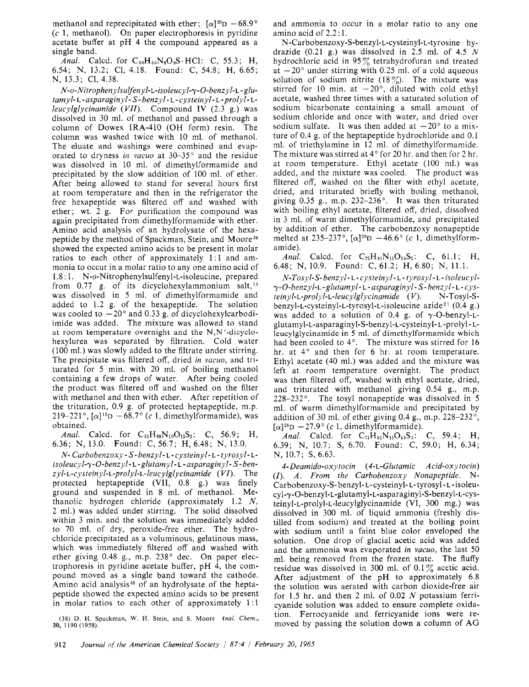methanol and reprecipitated with ether;  $[\alpha]^{20}D -68.9^{\circ}$ (c 1, methanol). On paper electrophoresis in pyridine acetate buffer at pH <sup>4</sup> the compound appeared as <sup>a</sup> single band.

Anal. Calcd. for  $C_{39}H_{54}N_8O_9S \cdot HCl$ : C, 55.3; H, 6.54; N, 13.2; Cl, 4.18. Found: C, 54.8; H, 6.65; N, 13.3; Cl, 4.38.

N-o-Nitropheny Isulfenyl-L-isoleucyl-y-O-benzyl-L-glutamyl- l - asparaginyl - S - benzyl - l - cysteinyl - L - prolyl-lleucylglycinamide  $(VII)$ . Compound IV  $(2.3 \text{ g.})$  was dissolved in <sup>30</sup> ml. of methanol and passed through <sup>a</sup> column of Dowex IRA-410 (OH form) resin. The column was washed twice with 10 ml. of methanol. The eluate and washings were combined and evaporated to dryness in vacuo at  $30-35^\circ$  and the residue was dissolved in <sup>10</sup> ml. of dimethylformamide and precipitated by the slow addition of <sup>100</sup> ml. of ether. After being allowed to stand for several hours first at room temperature and then in the refrigerator the free hexapeptide was filtered off and washed with ether; wt. <sup>2</sup> g. For purification the compound was again precipitated from dimethylformamide with ether. Amino acid analysis of an hydrolysate of the hexapeptide by the method of Spackman, Stein, and Moore<sup>38</sup> showed the expected amino acids to be present in molar ratios to each other of approximately 1:1 and ammonia to occur in <sup>a</sup> molar ratio to any one amino acid of 1.8:1. N-o-Nitrophenylsulfenyl-L-isoleucine, prepared from 0.77 g. of its dicyclohexylammonium salt,  $15$ was dissolved in 5 ml. of dimethylformamide and added to  $1.2$  g, of the hexapeptide. The solution added to  $1.2$  g. of the hexapeptide. was cooled to  $-20^{\circ}$  and 0.33 g, of dicyclohexylcarbodiimide was added. The mixture was allowed to stand at room temperature overnight and the N,N'-dicyclohexylurea was separated by filtration. Cold water (100 ml.) was slowly added to the filtrate under stirring. The precipitate was filtered off, dried in vacuo, and triturated for <sup>5</sup> min. with <sup>20</sup> ml. of boiling methanol containing <sup>a</sup> few drops of water. After being cooled the product was filtered off and washed on the filter with methanol and then with ether. After repetition of the trituration, 0.9 g. of protected heptapeptide, m.p. 219-221°,  $[\alpha]^{19}D - 68.7$ ° (c 1, dimethylformamide), was obtained.

Anal. Calcd. for  $C_{51}H_{68}N_{10}O_{12}S_2$ : C, 56.9; H, 6.36; N, 13.0. Found: C, 56.7; H, 6.48; N, 13.0.

N- Carbobenzoxy - S - benzyl - L - cysteinyl - L - tyrosyl - L isoleucyl- $\gamma$ -O-benzyl - L - glutamyl - L - asparaginyl - S - ben $zyl$ -L-cysteinyl-L-prolyl-L-leucylglycinamide  $(VI)$ . The protected heptapeptide (VII, 0.8 g.) was finely ground and suspended in <sup>8</sup> ml. of methanol. Methanolic hydrogen chloride (approximately 1.2 N, <sup>2</sup> ml.) was added under stirring. The solid dissolved within <sup>3</sup> min. and the solution was immediately added to <sup>70</sup> ml. of dry, peroxide-free ether. The hydrochloride precipitated as <sup>a</sup> voluminous, gelatinous mass, which was immediately filtered off and washed with ether giving 0.48 g., m.p. 238° dec. On paper electrophoresis in pyridine acetate buffer, pH 4, the compound moved as <sup>a</sup> single band toward the cathode. Amino acid analysis<sup>38</sup> of an hydrolysate of the heptapeptide showed the expected amino acids to be present in molar ratios to each other of approximately 1:1

(38) D. H. Spackman, W. H. Stein, and S, Moore 4nal, Chem., 30, 1190 (1958).

and ammonia to occur in <sup>a</sup> molar ratio to any one amino acid of 2.2:1.

N-Carbobenzoxy-S-benzyl-L-cysteinyl-L-tyrosine hydrazide  $(0.21 \text{ g.})$  was dissolved in 2.5 ml. of 4.5 N hydrochloric acid in  $95\%$  tetrahydrofuran and treated at  $-20^{\circ}$  under stirring with 0.25 ml. of a cold aqueous solution of sodium nitrite (18 $\%$ ). The mixture was stirred for 10 min. at  $-20^{\circ}$ , diluted with cold ethyl acetate, washed three times with <sup>a</sup> saturated solution of sodium bicarbonate containing <sup>a</sup> small amount of sodium chloride and once with water, and dried over sodium sulfate. It was then added at  $-20^{\circ}$  to a mixture of 0.4 g. of the heptapeptide hydrochloride and 0.1 ml. of triethylamine in <sup>12</sup> ml. of dimethylformamide. The mixture was stirred at 4° for 20 hr. and then for <sup>2</sup> hr. at room temperature. Ethyl acetate (100 ml.) was added, and the mixture was cooled. The product was filtered off, washed on the filter with ethyl acetate, dried, and triturated briefly with boiling methanol, giving 0.35 g., m.p.  $232-236$ °. It was then triturated with boiling ethyl acetate, filtered off, dried, dissolved in <sup>3</sup> ml. of warm dimethylformamide, and precipitated by addition of ether. The carbobenzoxy nonapeptide melted at 235-237°,  $[\alpha]^{20}D -46.6$ ° (c 1, dimethylformamide).

Anal. Calcd. for  $C_{72}H_{91}N_{11}O_{15}S_2$ : C, 61.1; H, 6.48; N, 10.9. Found: C, 61.2; H, 6.80; N, 11.1.

N-T osyl-S- benzyl - <sup>L</sup> - cysteinyl - L - tyrosyl - L - isoleucyly-O-benzyl-L-glutamyl - l - asparaginyl - S - benzyl - l - cys $teinyl$ -L-prolyl-L-leucylglycinamide  $(V)$ . N-Tosyl-Sbenzyl-L-cysteinyl-L-tyrosyl-L-isoleucine azide<sup>21</sup> (0.4 g.) was added to a solution of 0.4 g. of  $\gamma$ -O-benzyl-Lglutamyl-L-asparaginyl-S-benzyl-L-cysteinyl- <sup>l</sup> -prolyl - lleucylglycinamide in <sup>5</sup> ml. of dimethylformamide which had been cooled to 4°. The mixture was stirred for 16 hr. at 4° and then for <sup>6</sup> hr. at room temperature. Ethyl acetate (40 ml.) was added and the mixture was left at room temperature overnight. The product was then filtered off, washed with ethyl acetate, dried, and triturated with methanol giving 0.54 g., m.p. 228-232°. The tosyl nonapeptide was dissolved in <sup>5</sup> ml. of warm dimethylformamide and precipitated by addition of <sup>30</sup> ml. of ether giving 0.4 g., m.p. 228-232°,  $[\alpha]^{28}D -27.9^{\circ}$  (c 1, dimethylformamide).

Anal. Calcd. for  $C_{71}H_{91}N_{11}O_{15}S_3$ : C, 59.4; H, 6.39; N, 10.7; S, 6.70. Found: C, 59.0; H, 6.34; N, 10.7; S, 6.63.

4-Deamido-oxytocin (4-L-Glutamic Acid-oxytocin) (I). A. From the Carbobenzoxy Nonapeptide. N-Carbobenzoxy-S- benzyl- l- cysteinyl- l- tyrosyl - <sup>L</sup> - isoleucyl-7-0-benzyl-L-glutamyl-L-asparaginyl-S-benzyl-L-cysteinyl-L-prolyl-L-leucylglycinamide (VI, 300 mg.) was dissolved in <sup>300</sup> ml. of liquid ammonia (freshly distilled from sodium) and treated at the boiling point with sodium until <sup>a</sup> faint blue color enveloped the solution. One drop of glacial acetic acid was added and the ammonia was evaporated in vacuo, the last <sup>50</sup> ml. being removed from the frozen state. The fluffy residue was dissolved in 300 ml. of  $0.1\%$  acetic acid. After adjustment of the pH to approximately 6.8 the solution was aerated with carbon dioxide-free air for 1.5 hr. and then 2 ml. of 0.02  $N$  potassium ferricyanide solution was added to ensure complete oxidation. Ferrocyanide and ferricyanide ions were removed by passing the solution down <sup>a</sup> column of AG